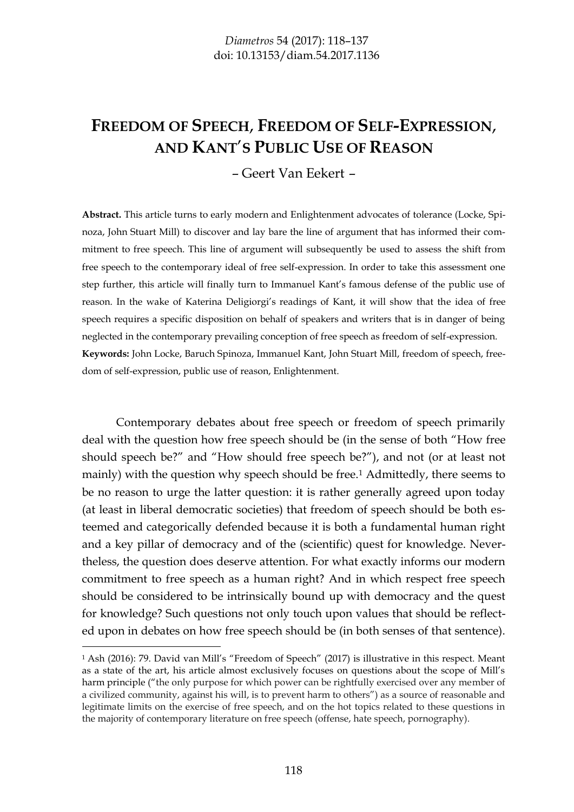# **FREEDOM OF SPEECH**, **FREEDOM OF SELF-EXPRESSION**, **AND KANT**'**S PUBLIC USE OF REASON**

– Geert Van Eekert –

**Abstract.** This article turns to early modern and Enlightenment advocates of tolerance (Locke, Spinoza, John Stuart Mill) to discover and lay bare the line of argument that has informed their commitment to free speech. This line of argument will subsequently be used to assess the shift from free speech to the contemporary ideal of free self-expression. In order to take this assessment one step further, this article will finally turn to Immanuel Kant's famous defense of the public use of reason. In the wake of Katerina Deligiorgi's readings of Kant, it will show that the idea of free speech requires a specific disposition on behalf of speakers and writers that is in danger of being neglected in the contemporary prevailing conception of free speech as freedom of self-expression. **Keywords:** John Locke, Baruch Spinoza, Immanuel Kant, John Stuart Mill, freedom of speech, freedom of self-expression, public use of reason, Enlightenment.

Contemporary debates about free speech or freedom of speech primarily deal with the question how free speech should be (in the sense of both "How free should speech be?" and "How should free speech be?"), and not (or at least not mainly) with the question why speech should be free.<sup>1</sup> Admittedly, there seems to be no reason to urge the latter question: it is rather generally agreed upon today (at least in liberal democratic societies) that freedom of speech should be both esteemed and categorically defended because it is both a fundamental human right and a key pillar of democracy and of the (scientific) quest for knowledge. Nevertheless, the question does deserve attention. For what exactly informs our modern commitment to free speech as a human right? And in which respect free speech should be considered to be intrinsically bound up with democracy and the quest for knowledge? Such questions not only touch upon values that should be reflected upon in debates on how free speech should be (in both senses of that sentence).

<sup>1</sup> Ash (2016): 79. David van Mill's "Freedom of Speech" (2017) is illustrative in this respect. Meant as a state of the art, his article almost exclusively focuses on questions about the scope of Mill's harm principle ("the only purpose for which power can be rightfully exercised over any member of a civilized community, against his will, is to prevent harm to others") as a source of reasonable and legitimate limits on the exercise of free speech, and on the hot topics related to these questions in the majority of contemporary literature on free speech (offense, hate speech, pornography).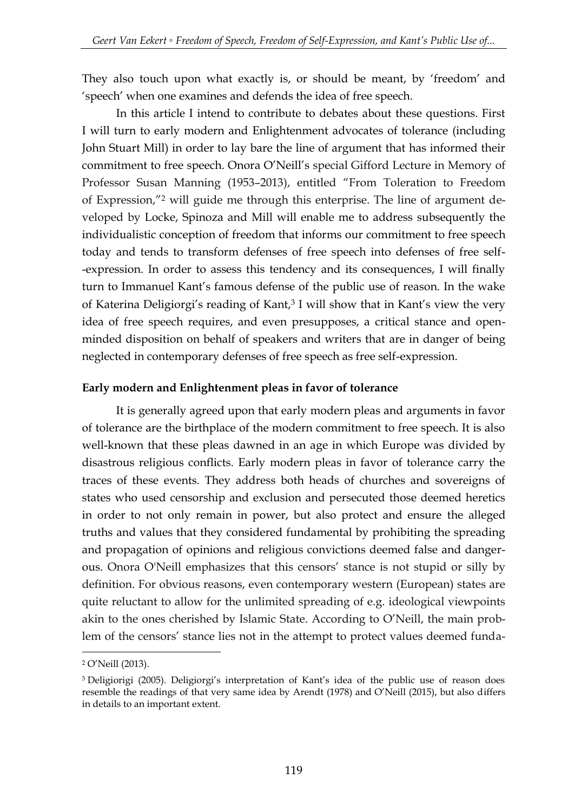They also touch upon what exactly is, or should be meant, by 'freedom' and 'speech' when one examines and defends the idea of free speech.

In this article I intend to contribute to debates about these questions. First I will turn to early modern and Enlightenment advocates of tolerance (including John Stuart Mill) in order to lay bare the line of argument that has informed their commitment to free speech. Onora O'Neill's special Gifford Lecture in Memory of Professor Susan Manning (1953–2013), entitled "From Toleration to Freedom of Expression,"<sup>2</sup> will guide me through this enterprise. The line of argument developed by Locke, Spinoza and Mill will enable me to address subsequently the individualistic conception of freedom that informs our commitment to free speech today and tends to transform defenses of free speech into defenses of free self- -expression. In order to assess this tendency and its consequences, I will finally turn to Immanuel Kant's famous defense of the public use of reason. In the wake of Katerina Deligiorgi's reading of Kant,<sup>3</sup> I will show that in Kant's view the very idea of free speech requires, and even presupposes, a critical stance and openminded disposition on behalf of speakers and writers that are in danger of being neglected in contemporary defenses of free speech as free self-expression.

#### **Early modern and Enlightenment pleas in favor of tolerance**

It is generally agreed upon that early modern pleas and arguments in favor of tolerance are the birthplace of the modern commitment to free speech. It is also well-known that these pleas dawned in an age in which Europe was divided by disastrous religious conflicts. Early modern pleas in favor of tolerance carry the traces of these events. They address both heads of churches and sovereigns of states who used censorship and exclusion and persecuted those deemed heretics in order to not only remain in power, but also protect and ensure the alleged truths and values that they considered fundamental by prohibiting the spreading and propagation of opinions and religious convictions deemed false and dangerous. Onora O'Neill emphasizes that this censors' stance is not stupid or silly by definition. For obvious reasons, even contemporary western (European) states are quite reluctant to allow for the unlimited spreading of e.g. ideological viewpoints akin to the ones cherished by Islamic State. According to O'Neill, the main problem of the censors' stance lies not in the attempt to protect values deemed funda-

<sup>2</sup> O'Neill (2013).

<sup>3</sup> Deligiorigi (2005). Deligiorgi's interpretation of Kant's idea of the public use of reason does resemble the readings of that very same idea by Arendt (1978) and O'Neill (2015), but also differs in details to an important extent.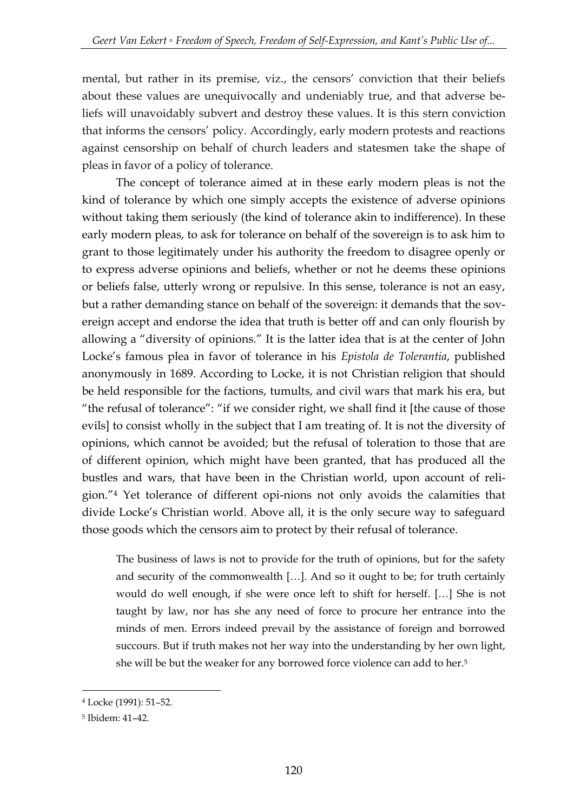mental, but rather in its premise, viz., the censors' conviction that their beliefs about these values are unequivocally and undeniably true, and that adverse beliefs will unavoidably subvert and destroy these values. It is this stern conviction that informs the censors' policy. Accordingly, early modern protests and reactions against censorship on behalf of church leaders and statesmen take the shape of pleas in favor of a policy of tolerance.

The concept of tolerance aimed at in these early modern pleas is not the kind of tolerance by which one simply accepts the existence of adverse opinions without taking them seriously (the kind of tolerance akin to indifference). In these early modern pleas, to ask for tolerance on behalf of the sovereign is to ask him to grant to those legitimately under his authority the freedom to disagree openly or to express adverse opinions and beliefs, whether or not he deems these opinions or beliefs false, utterly wrong or repulsive. In this sense, tolerance is not an easy, but a rather demanding stance on behalf of the sovereign: it demands that the sovereign accept and endorse the idea that truth is better off and can only flourish by allowing a "diversity of opinions." It is the latter idea that is at the center of John Locke's famous plea in favor of tolerance in his *Epistola de Tolerantia*, published anonymously in 1689. According to Locke, it is not Christian religion that should be held responsible for the factions, tumults, and civil wars that mark his era, but "the refusal of tolerance": "if we consider right, we shall find it [the cause of those evils] to consist wholly in the subject that I am treating of. It is not the diversity of opinions, which cannot be avoided; but the refusal of toleration to those that are of different opinion, which might have been granted, that has produced all the bustles and wars, that have been in the Christian world, upon account of religion."<sup>4</sup> Yet tolerance of different opi-nions not only avoids the calamities that divide Locke's Christian world. Above all, it is the only secure way to safeguard those goods which the censors aim to protect by their refusal of tolerance.

The business of laws is not to provide for the truth of opinions, but for the safety and security of the commonwealth […]. And so it ought to be; for truth certainly would do well enough, if she were once left to shift for herself. […] She is not taught by law, nor has she any need of force to procure her entrance into the minds of men. Errors indeed prevail by the assistance of foreign and borrowed succours. But if truth makes not her way into the understanding by her own light, she will be but the weaker for any borrowed force violence can add to her.<sup>5</sup>

<sup>4</sup> Locke (1991): 51–52.

<sup>5</sup> Ibidem: 41–42.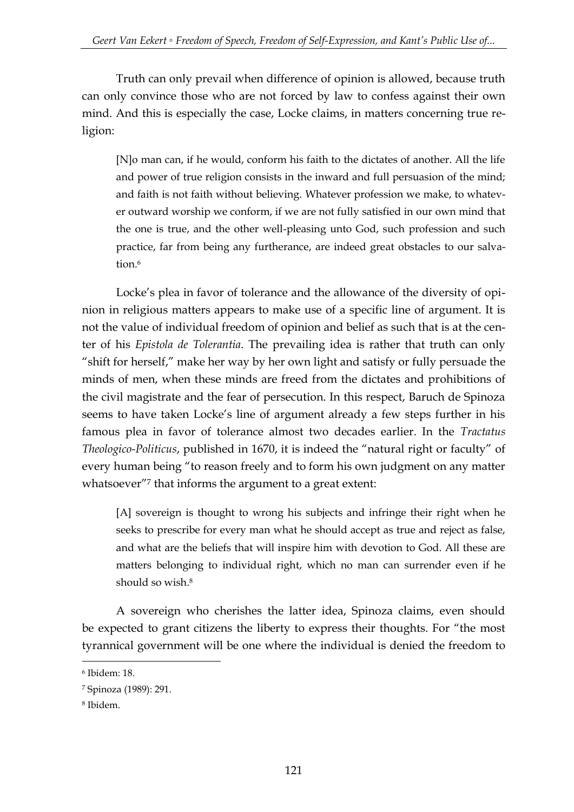Truth can only prevail when difference of opinion is allowed, because truth can only convince those who are not forced by law to confess against their own mind. And this is especially the case, Locke claims, in matters concerning true religion:

[N]o man can, if he would, conform his faith to the dictates of another. All the life and power of true religion consists in the inward and full persuasion of the mind; and faith is not faith without believing. Whatever profession we make, to whatever outward worship we conform, if we are not fully satisfied in our own mind that the one is true, and the other well-pleasing unto God, such profession and such practice, far from being any furtherance, are indeed great obstacles to our salvation.<sup>6</sup>

Locke's plea in favor of tolerance and the allowance of the diversity of opinion in religious matters appears to make use of a specific line of argument. It is not the value of individual freedom of opinion and belief as such that is at the center of his *Epistola de Tolerantia*. The prevailing idea is rather that truth can only "shift for herself," make her way by her own light and satisfy or fully persuade the minds of men, when these minds are freed from the dictates and prohibitions of the civil magistrate and the fear of persecution. In this respect, Baruch de Spinoza seems to have taken Locke's line of argument already a few steps further in his famous plea in favor of tolerance almost two decades earlier. In the *Tractatus Theologico-Politicus*, published in 1670, it is indeed the "natural right or faculty" of every human being "to reason freely and to form his own judgment on any matter whatsoever<sup>"7</sup> that informs the argument to a great extent:

[A] sovereign is thought to wrong his subjects and infringe their right when he seeks to prescribe for every man what he should accept as true and reject as false, and what are the beliefs that will inspire him with devotion to God. All these are matters belonging to individual right, which no man can surrender even if he should so wish.<sup>8</sup>

A sovereign who cherishes the latter idea, Spinoza claims, even should be expected to grant citizens the liberty to express their thoughts. For "the most tyrannical government will be one where the individual is denied the freedom to

<sup>6</sup> Ibidem: 18.

<sup>7</sup> Spinoza (1989): 291.

<sup>8</sup> Ibidem.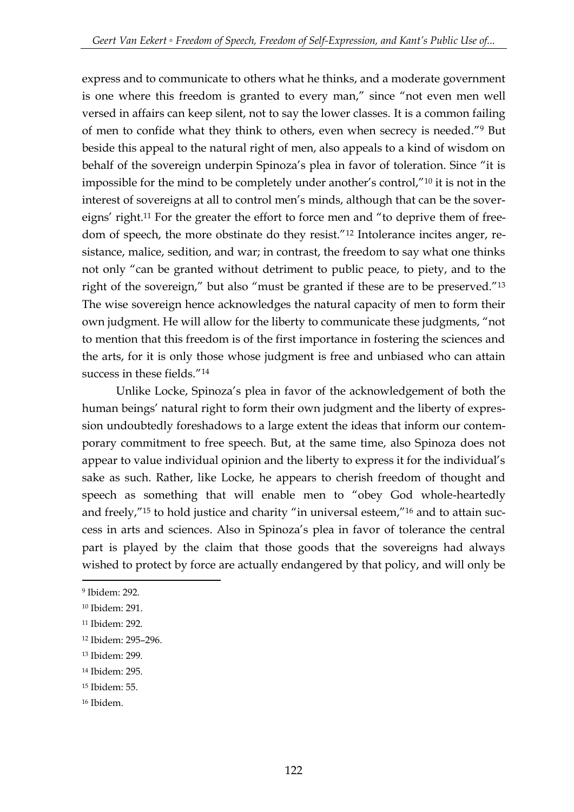express and to communicate to others what he thinks, and a moderate government is one where this freedom is granted to every man," since "not even men well versed in affairs can keep silent, not to say the lower classes. It is a common failing of men to confide what they think to others, even when secrecy is needed."<sup>9</sup> But beside this appeal to the natural right of men, also appeals to a kind of wisdom on behalf of the sovereign underpin Spinoza's plea in favor of toleration. Since "it is impossible for the mind to be completely under another's control,"<sup>10</sup> it is not in the interest of sovereigns at all to control men's minds, although that can be the sovereigns' right.<sup>11</sup> For the greater the effort to force men and "to deprive them of freedom of speech, the more obstinate do they resist."<sup>12</sup> Intolerance incites anger, resistance, malice, sedition, and war; in contrast, the freedom to say what one thinks not only "can be granted without detriment to public peace, to piety, and to the right of the sovereign," but also "must be granted if these are to be preserved."<sup>13</sup> The wise sovereign hence acknowledges the natural capacity of men to form their own judgment. He will allow for the liberty to communicate these judgments, "not to mention that this freedom is of the first importance in fostering the sciences and the arts, for it is only those whose judgment is free and unbiased who can attain success in these fields."<sup>14</sup>

Unlike Locke, Spinoza's plea in favor of the acknowledgement of both the human beings' natural right to form their own judgment and the liberty of expression undoubtedly foreshadows to a large extent the ideas that inform our contemporary commitment to free speech. But, at the same time, also Spinoza does not appear to value individual opinion and the liberty to express it for the individual's sake as such. Rather, like Locke, he appears to cherish freedom of thought and speech as something that will enable men to "obey God whole-heartedly and freely,"<sup>15</sup> to hold justice and charity "in universal esteem,"<sup>16</sup> and to attain success in arts and sciences. Also in Spinoza's plea in favor of tolerance the central part is played by the claim that those goods that the sovereigns had always wished to protect by force are actually endangered by that policy, and will only be

<sup>9</sup> Ibidem: 292.

<sup>10</sup> Ibidem: 291.

<sup>11</sup> Ibidem: 292.

<sup>12</sup> Ibidem: 295–296.

<sup>13</sup> Ibidem: 299.

<sup>14</sup> Ibidem: 295.

<sup>15</sup> Ibidem: 55.

<sup>16</sup> Ibidem.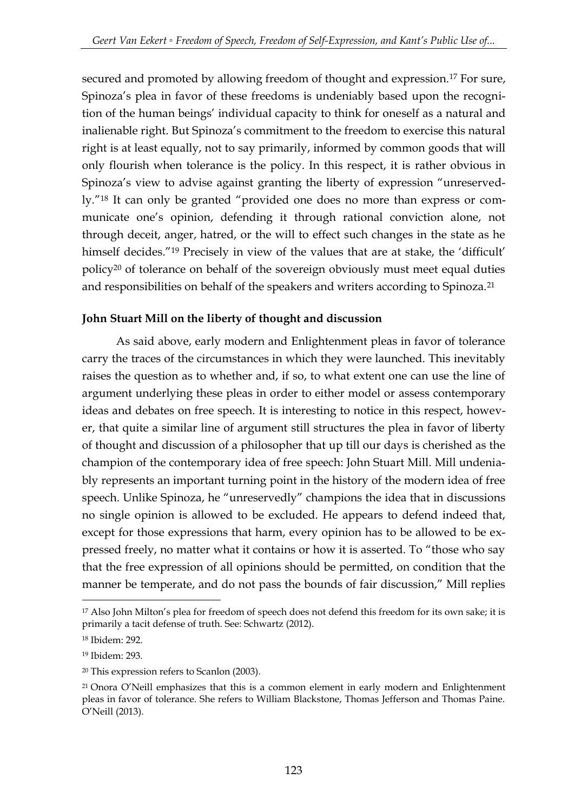secured and promoted by allowing freedom of thought and expression.<sup>17</sup> For sure, Spinoza's plea in favor of these freedoms is undeniably based upon the recognition of the human beings' individual capacity to think for oneself as a natural and inalienable right. But Spinoza's commitment to the freedom to exercise this natural right is at least equally, not to say primarily, informed by common goods that will only flourish when tolerance is the policy. In this respect, it is rather obvious in Spinoza's view to advise against granting the liberty of expression "unreservedly."<sup>18</sup> It can only be granted "provided one does no more than express or communicate one's opinion, defending it through rational conviction alone, not through deceit, anger, hatred, or the will to effect such changes in the state as he himself decides."<sup>19</sup> Precisely in view of the values that are at stake, the 'difficult' policy<sup>20</sup> of tolerance on behalf of the sovereign obviously must meet equal duties and responsibilities on behalf of the speakers and writers according to Spinoza.<sup>21</sup>

### **John Stuart Mill on the liberty of thought and discussion**

As said above, early modern and Enlightenment pleas in favor of tolerance carry the traces of the circumstances in which they were launched. This inevitably raises the question as to whether and, if so, to what extent one can use the line of argument underlying these pleas in order to either model or assess contemporary ideas and debates on free speech. It is interesting to notice in this respect, however, that quite a similar line of argument still structures the plea in favor of liberty of thought and discussion of a philosopher that up till our days is cherished as the champion of the contemporary idea of free speech: John Stuart Mill. Mill undeniably represents an important turning point in the history of the modern idea of free speech. Unlike Spinoza, he "unreservedly" champions the idea that in discussions no single opinion is allowed to be excluded. He appears to defend indeed that, except for those expressions that harm, every opinion has to be allowed to be expressed freely, no matter what it contains or how it is asserted. To "those who say that the free expression of all opinions should be permitted, on condition that the manner be temperate, and do not pass the bounds of fair discussion," Mill replies

<sup>&</sup>lt;sup>17</sup> Also John Milton's plea for freedom of speech does not defend this freedom for its own sake; it is primarily a tacit defense of truth. See: Schwartz (2012).

<sup>18</sup> Ibidem: 292.

<sup>19</sup> Ibidem: 293.

<sup>20</sup> This expression refers to Scanlon (2003).

<sup>21</sup> Onora O'Neill emphasizes that this is a common element in early modern and Enlightenment pleas in favor of tolerance. She refers to William Blackstone, Thomas Jefferson and Thomas Paine. O'Neill (2013).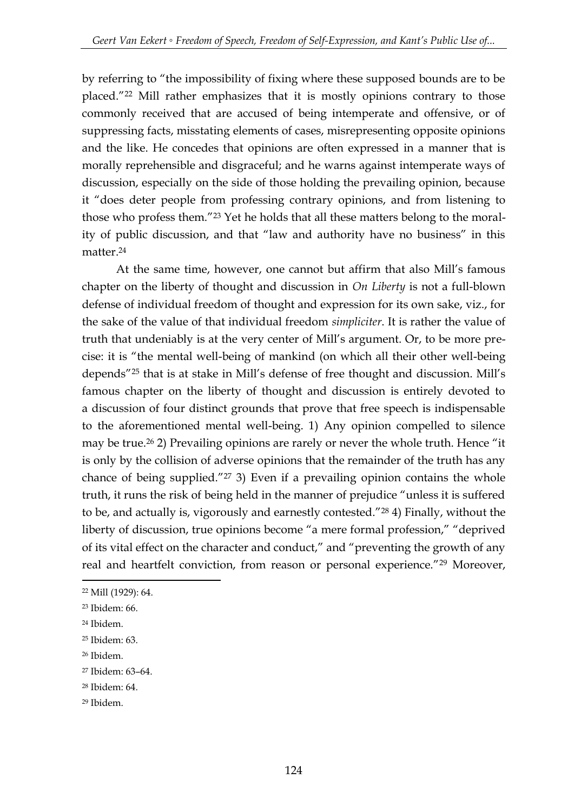by referring to "the impossibility of fixing where these supposed bounds are to be placed."<sup>22</sup> Mill rather emphasizes that it is mostly opinions contrary to those commonly received that are accused of being intemperate and offensive, or of suppressing facts, misstating elements of cases, misrepresenting opposite opinions and the like. He concedes that opinions are often expressed in a manner that is morally reprehensible and disgraceful; and he warns against intemperate ways of discussion, especially on the side of those holding the prevailing opinion, because it "does deter people from professing contrary opinions, and from listening to those who profess them."<sup>23</sup> Yet he holds that all these matters belong to the morality of public discussion, and that "law and authority have no business" in this matter.<sup>24</sup>

At the same time, however, one cannot but affirm that also Mill's famous chapter on the liberty of thought and discussion in *On Liberty* is not a full-blown defense of individual freedom of thought and expression for its own sake, viz., for the sake of the value of that individual freedom *simpliciter*. It is rather the value of truth that undeniably is at the very center of Mill's argument. Or, to be more precise: it is "the mental well-being of mankind (on which all their other well-being depends"<sup>25</sup> that is at stake in Mill's defense of free thought and discussion. Mill's famous chapter on the liberty of thought and discussion is entirely devoted to a discussion of four distinct grounds that prove that free speech is indispensable to the aforementioned mental well-being. 1) Any opinion compelled to silence may be true. <sup>26</sup> 2) Prevailing opinions are rarely or never the whole truth. Hence "it is only by the collision of adverse opinions that the remainder of the truth has any chance of being supplied."<sup>27</sup> 3) Even if a prevailing opinion contains the whole truth, it runs the risk of being held in the manner of prejudice "unless it is suffered to be, and actually is, vigorously and earnestly contested."<sup>28</sup> 4) Finally, without the liberty of discussion, true opinions become "a mere formal profession," "deprived of its vital effect on the character and conduct," and "preventing the growth of any real and heartfelt conviction, from reason or personal experience."<sup>29</sup> Moreover,

<sup>22</sup> Mill (1929): 64.

<sup>23</sup> Ibidem: 66.

<sup>24</sup> Ibidem.

<sup>25</sup> Ibidem: 63.

<sup>26</sup> Ibidem.

<sup>27</sup> Ibidem: 63–64.

<sup>28</sup> Ibidem: 64.

<sup>29</sup> Ibidem.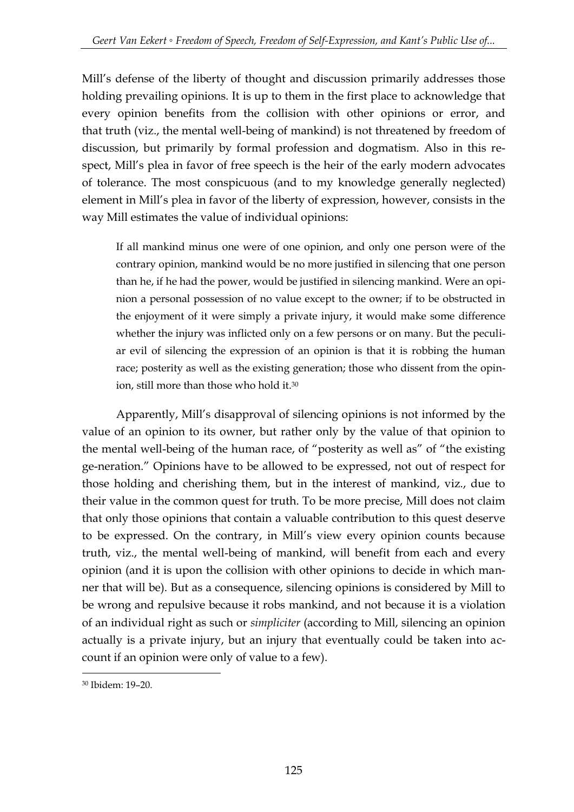Mill's defense of the liberty of thought and discussion primarily addresses those holding prevailing opinions. It is up to them in the first place to acknowledge that every opinion benefits from the collision with other opinions or error, and that truth (viz., the mental well-being of mankind) is not threatened by freedom of discussion, but primarily by formal profession and dogmatism. Also in this respect, Mill's plea in favor of free speech is the heir of the early modern advocates of tolerance. The most conspicuous (and to my knowledge generally neglected) element in Mill's plea in favor of the liberty of expression, however, consists in the way Mill estimates the value of individual opinions:

If all mankind minus one were of one opinion, and only one person were of the contrary opinion, mankind would be no more justified in silencing that one person than he, if he had the power, would be justified in silencing mankind. Were an opinion a personal possession of no value except to the owner; if to be obstructed in the enjoyment of it were simply a private injury, it would make some difference whether the injury was inflicted only on a few persons or on many. But the peculiar evil of silencing the expression of an opinion is that it is robbing the human race; posterity as well as the existing generation; those who dissent from the opinion, still more than those who hold it.<sup>30</sup>

Apparently, Mill's disapproval of silencing opinions is not informed by the value of an opinion to its owner, but rather only by the value of that opinion to the mental well-being of the human race, of "posterity as well as" of "the existing ge-neration." Opinions have to be allowed to be expressed, not out of respect for those holding and cherishing them, but in the interest of mankind, viz., due to their value in the common quest for truth. To be more precise, Mill does not claim that only those opinions that contain a valuable contribution to this quest deserve to be expressed. On the contrary, in Mill's view every opinion counts because truth, viz., the mental well-being of mankind, will benefit from each and every opinion (and it is upon the collision with other opinions to decide in which manner that will be). But as a consequence, silencing opinions is considered by Mill to be wrong and repulsive because it robs mankind, and not because it is a violation of an individual right as such or *simpliciter* (according to Mill, silencing an opinion actually is a private injury, but an injury that eventually could be taken into account if an opinion were only of value to a few).

<sup>-</sup><sup>30</sup> Ibidem: 19–20.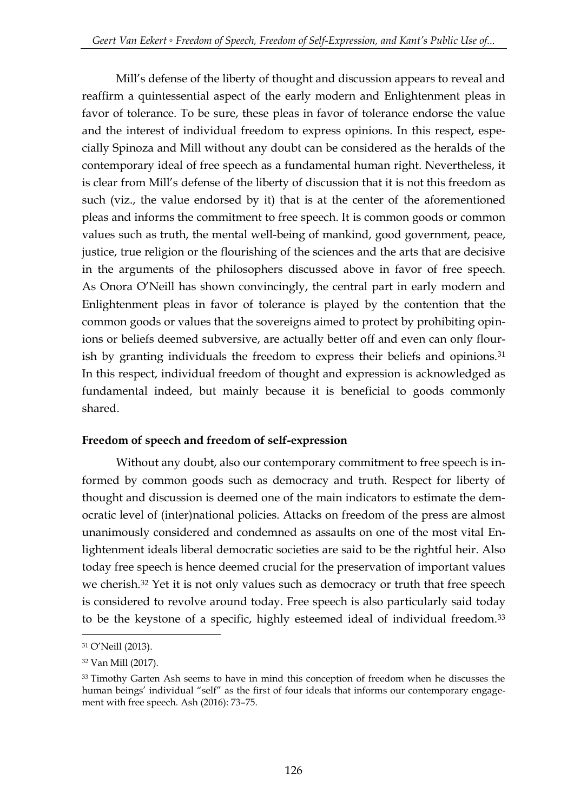Mill's defense of the liberty of thought and discussion appears to reveal and reaffirm a quintessential aspect of the early modern and Enlightenment pleas in favor of tolerance. To be sure, these pleas in favor of tolerance endorse the value and the interest of individual freedom to express opinions. In this respect, especially Spinoza and Mill without any doubt can be considered as the heralds of the contemporary ideal of free speech as a fundamental human right. Nevertheless, it is clear from Mill's defense of the liberty of discussion that it is not this freedom as such (viz., the value endorsed by it) that is at the center of the aforementioned pleas and informs the commitment to free speech. It is common goods or common values such as truth, the mental well-being of mankind, good government, peace, justice, true religion or the flourishing of the sciences and the arts that are decisive in the arguments of the philosophers discussed above in favor of free speech. As Onora O'Neill has shown convincingly, the central part in early modern and Enlightenment pleas in favor of tolerance is played by the contention that the common goods or values that the sovereigns aimed to protect by prohibiting opinions or beliefs deemed subversive, are actually better off and even can only flourish by granting individuals the freedom to express their beliefs and opinions.<sup>31</sup> In this respect, individual freedom of thought and expression is acknowledged as fundamental indeed, but mainly because it is beneficial to goods commonly shared.

#### **Freedom of speech and freedom of self-expression**

Without any doubt, also our contemporary commitment to free speech is informed by common goods such as democracy and truth. Respect for liberty of thought and discussion is deemed one of the main indicators to estimate the democratic level of (inter)national policies. Attacks on freedom of the press are almost unanimously considered and condemned as assaults on one of the most vital Enlightenment ideals liberal democratic societies are said to be the rightful heir. Also today free speech is hence deemed crucial for the preservation of important values we cherish.<sup>32</sup> Yet it is not only values such as democracy or truth that free speech is considered to revolve around today. Free speech is also particularly said today to be the keystone of a specific, highly esteemed ideal of individual freedom.<sup>33</sup>

<sup>31</sup> O'Neill (2013).

<sup>32</sup> Van Mill (2017).

<sup>33</sup> Timothy Garten Ash seems to have in mind this conception of freedom when he discusses the human beings' individual "self" as the first of four ideals that informs our contemporary engagement with free speech. Ash (2016): 73–75.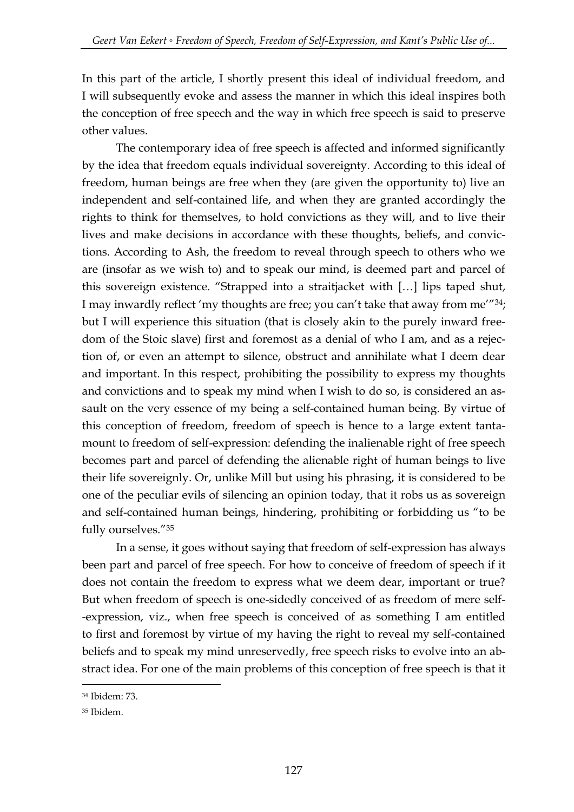In this part of the article, I shortly present this ideal of individual freedom, and I will subsequently evoke and assess the manner in which this ideal inspires both the conception of free speech and the way in which free speech is said to preserve other values.

The contemporary idea of free speech is affected and informed significantly by the idea that freedom equals individual sovereignty. According to this ideal of freedom, human beings are free when they (are given the opportunity to) live an independent and self-contained life, and when they are granted accordingly the rights to think for themselves, to hold convictions as they will, and to live their lives and make decisions in accordance with these thoughts, beliefs, and convictions. According to Ash, the freedom to reveal through speech to others who we are (insofar as we wish to) and to speak our mind, is deemed part and parcel of this sovereign existence. "Strapped into a straitjacket with […] lips taped shut, I may inwardly reflect 'my thoughts are free; you can't take that away from me'"34; but I will experience this situation (that is closely akin to the purely inward freedom of the Stoic slave) first and foremost as a denial of who I am, and as a rejection of, or even an attempt to silence, obstruct and annihilate what I deem dear and important. In this respect, prohibiting the possibility to express my thoughts and convictions and to speak my mind when I wish to do so, is considered an assault on the very essence of my being a self-contained human being. By virtue of this conception of freedom, freedom of speech is hence to a large extent tantamount to freedom of self-expression: defending the inalienable right of free speech becomes part and parcel of defending the alienable right of human beings to live their life sovereignly. Or, unlike Mill but using his phrasing, it is considered to be one of the peculiar evils of silencing an opinion today, that it robs us as sovereign and self-contained human beings, hindering, prohibiting or forbidding us "to be fully ourselves."<sup>35</sup>

In a sense, it goes without saying that freedom of self-expression has always been part and parcel of free speech. For how to conceive of freedom of speech if it does not contain the freedom to express what we deem dear, important or true? But when freedom of speech is one-sidedly conceived of as freedom of mere self- -expression, viz., when free speech is conceived of as something I am entitled to first and foremost by virtue of my having the right to reveal my self-contained beliefs and to speak my mind unreservedly, free speech risks to evolve into an abstract idea. For one of the main problems of this conception of free speech is that it

<sup>34</sup> Ibidem: 73.

<sup>35</sup> Ibidem.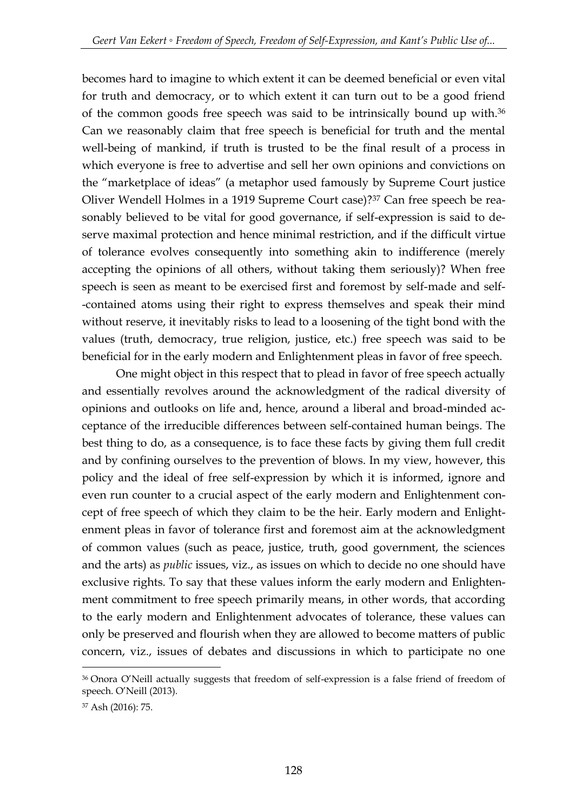becomes hard to imagine to which extent it can be deemed beneficial or even vital for truth and democracy, or to which extent it can turn out to be a good friend of the common goods free speech was said to be intrinsically bound up with.<sup>36</sup> Can we reasonably claim that free speech is beneficial for truth and the mental well-being of mankind, if truth is trusted to be the final result of a process in which everyone is free to advertise and sell her own opinions and convictions on the "marketplace of ideas" (a metaphor used famously by Supreme Court justice Oliver Wendell Holmes in a 1919 Supreme Court case)?<sup>37</sup> Can free speech be reasonably believed to be vital for good governance, if self-expression is said to deserve maximal protection and hence minimal restriction, and if the difficult virtue of tolerance evolves consequently into something akin to indifference (merely accepting the opinions of all others, without taking them seriously)? When free speech is seen as meant to be exercised first and foremost by self-made and self- -contained atoms using their right to express themselves and speak their mind without reserve, it inevitably risks to lead to a loosening of the tight bond with the values (truth, democracy, true religion, justice, etc.) free speech was said to be beneficial for in the early modern and Enlightenment pleas in favor of free speech.

One might object in this respect that to plead in favor of free speech actually and essentially revolves around the acknowledgment of the radical diversity of opinions and outlooks on life and, hence, around a liberal and broad-minded acceptance of the irreducible differences between self-contained human beings. The best thing to do, as a consequence, is to face these facts by giving them full credit and by confining ourselves to the prevention of blows. In my view, however, this policy and the ideal of free self-expression by which it is informed, ignore and even run counter to a crucial aspect of the early modern and Enlightenment concept of free speech of which they claim to be the heir. Early modern and Enlightenment pleas in favor of tolerance first and foremost aim at the acknowledgment of common values (such as peace, justice, truth, good government, the sciences and the arts) as *public* issues, viz., as issues on which to decide no one should have exclusive rights. To say that these values inform the early modern and Enlightenment commitment to free speech primarily means, in other words, that according to the early modern and Enlightenment advocates of tolerance, these values can only be preserved and flourish when they are allowed to become matters of public concern, viz., issues of debates and discussions in which to participate no one

<sup>36</sup> Onora O'Neill actually suggests that freedom of self-expression is a false friend of freedom of speech. O'Neill (2013).

<sup>37</sup> Ash (2016): 75.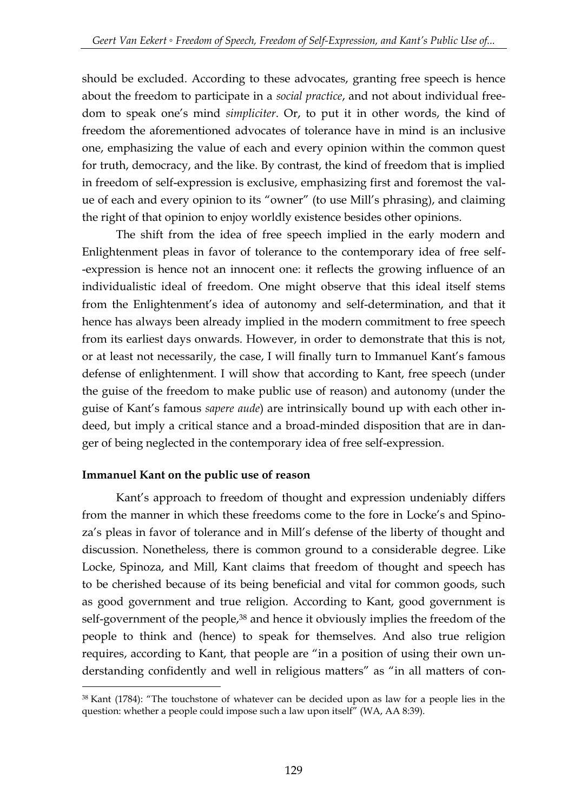should be excluded. According to these advocates, granting free speech is hence about the freedom to participate in a *social practice*, and not about individual freedom to speak one's mind *simpliciter*. Or, to put it in other words, the kind of freedom the aforementioned advocates of tolerance have in mind is an inclusive one, emphasizing the value of each and every opinion within the common quest for truth, democracy, and the like. By contrast, the kind of freedom that is implied in freedom of self-expression is exclusive, emphasizing first and foremost the value of each and every opinion to its "owner" (to use Mill's phrasing), and claiming the right of that opinion to enjoy worldly existence besides other opinions.

The shift from the idea of free speech implied in the early modern and Enlightenment pleas in favor of tolerance to the contemporary idea of free self- -expression is hence not an innocent one: it reflects the growing influence of an individualistic ideal of freedom. One might observe that this ideal itself stems from the Enlightenment's idea of autonomy and self-determination, and that it hence has always been already implied in the modern commitment to free speech from its earliest days onwards. However, in order to demonstrate that this is not, or at least not necessarily, the case, I will finally turn to Immanuel Kant's famous defense of enlightenment. I will show that according to Kant, free speech (under the guise of the freedom to make public use of reason) and autonomy (under the guise of Kant's famous *sapere aude*) are intrinsically bound up with each other indeed, but imply a critical stance and a broad-minded disposition that are in danger of being neglected in the contemporary idea of free self-expression.

#### **Immanuel Kant on the public use of reason**

<u>.</u>

Kant's approach to freedom of thought and expression undeniably differs from the manner in which these freedoms come to the fore in Locke's and Spinoza's pleas in favor of tolerance and in Mill's defense of the liberty of thought and discussion. Nonetheless, there is common ground to a considerable degree. Like Locke, Spinoza, and Mill, Kant claims that freedom of thought and speech has to be cherished because of its being beneficial and vital for common goods, such as good government and true religion. According to Kant, good government is self-government of the people,<sup>38</sup> and hence it obviously implies the freedom of the people to think and (hence) to speak for themselves. And also true religion requires, according to Kant, that people are "in a position of using their own understanding confidently and well in religious matters" as "in all matters of con-

<sup>38</sup> Kant (1784): "The touchstone of whatever can be decided upon as law for a people lies in the question: whether a people could impose such a law upon itself" (WA, AA 8:39).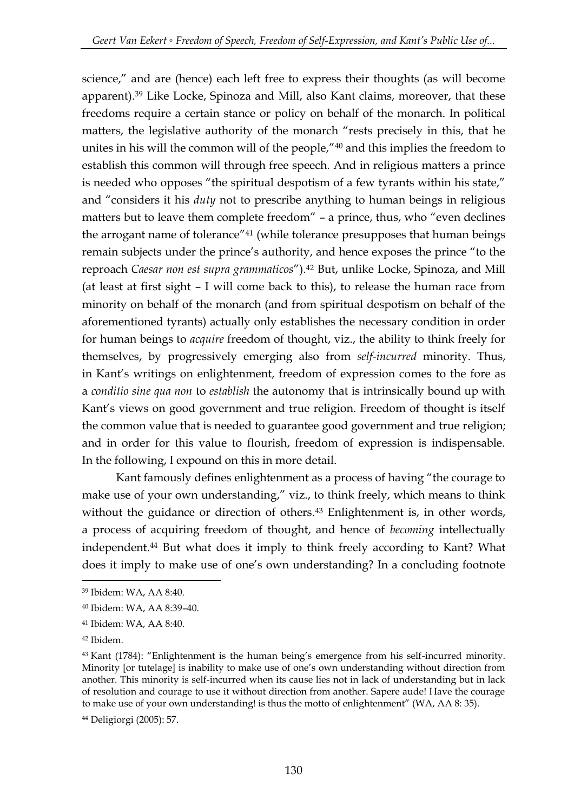science," and are (hence) each left free to express their thoughts (as will become apparent).<sup>39</sup> Like Locke, Spinoza and Mill, also Kant claims, moreover, that these freedoms require a certain stance or policy on behalf of the monarch. In political matters, the legislative authority of the monarch "rests precisely in this, that he unites in his will the common will of the people,"<sup>40</sup> and this implies the freedom to establish this common will through free speech. And in religious matters a prince is needed who opposes "the spiritual despotism of a few tyrants within his state," and "considers it his *duty* not to prescribe anything to human beings in religious matters but to leave them complete freedom" – a prince, thus, who "even declines the arrogant name of tolerance"<sup>41</sup> (while tolerance presupposes that human beings remain subjects under the prince's authority, and hence exposes the prince "to the reproach *Caesar non est supra grammaticos*"). <sup>42</sup> But, unlike Locke, Spinoza, and Mill (at least at first sight – I will come back to this), to release the human race from minority on behalf of the monarch (and from spiritual despotism on behalf of the aforementioned tyrants) actually only establishes the necessary condition in order for human beings to *acquire* freedom of thought, viz., the ability to think freely for themselves, by progressively emerging also from *self-incurred* minority. Thus, in Kant's writings on enlightenment, freedom of expression comes to the fore as a *conditio sine qua non* to *establish* the autonomy that is intrinsically bound up with Kant's views on good government and true religion. Freedom of thought is itself the common value that is needed to guarantee good government and true religion; and in order for this value to flourish, freedom of expression is indispensable. In the following, I expound on this in more detail.

Kant famously defines enlightenment as a process of having "the courage to make use of your own understanding," viz., to think freely, which means to think without the guidance or direction of others.<sup>43</sup> Enlightenment is, in other words, a process of acquiring freedom of thought, and hence of *becoming* intellectually independent.<sup>44</sup> But what does it imply to think freely according to Kant? What does it imply to make use of one's own understanding? In a concluding footnote

<sup>39</sup> Ibidem: WA, AA 8:40.

<sup>40</sup> Ibidem: WA, AA 8:39–40.

<sup>41</sup> Ibidem: WA, AA 8:40.

<sup>42</sup> Ibidem.

<sup>43</sup> Kant (1784): "Enlightenment is the human being's emergence from his self-incurred minority. Minority [or tutelage] is inability to make use of one's own understanding without direction from another. This minority is self-incurred when its cause lies not in lack of understanding but in lack of resolution and courage to use it without direction from another. Sapere aude! Have the courage to make use of your own understanding! is thus the motto of enlightenment" (WA, AA 8: 35).

<sup>44</sup> Deligiorgi (2005): 57.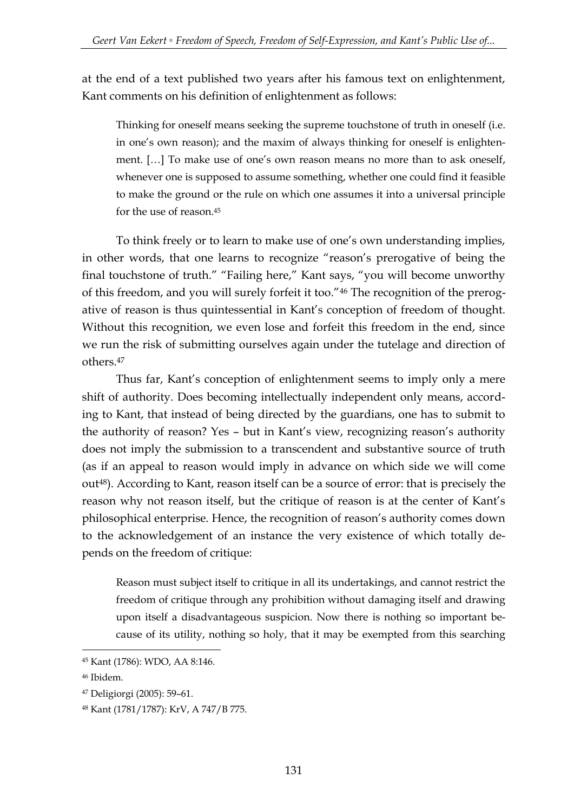at the end of a text published two years after his famous text on enlightenment, Kant comments on his definition of enlightenment as follows:

Thinking for oneself means seeking the supreme touchstone of truth in oneself (i.e. in one's own reason); and the maxim of always thinking for oneself is enlightenment. […] To make use of one's own reason means no more than to ask oneself, whenever one is supposed to assume something, whether one could find it feasible to make the ground or the rule on which one assumes it into a universal principle for the use of reason.<sup>45</sup>

To think freely or to learn to make use of one's own understanding implies, in other words, that one learns to recognize "reason's prerogative of being the final touchstone of truth." "Failing here," Kant says, "you will become unworthy of this freedom, and you will surely forfeit it too."<sup>46</sup> The recognition of the prerogative of reason is thus quintessential in Kant's conception of freedom of thought. Without this recognition, we even lose and forfeit this freedom in the end, since we run the risk of submitting ourselves again under the tutelage and direction of others.<sup>47</sup>

Thus far, Kant's conception of enlightenment seems to imply only a mere shift of authority. Does becoming intellectually independent only means, according to Kant, that instead of being directed by the guardians, one has to submit to the authority of reason? Yes – but in Kant's view, recognizing reason's authority does not imply the submission to a transcendent and substantive source of truth (as if an appeal to reason would imply in advance on which side we will come out48). According to Kant, reason itself can be a source of error: that is precisely the reason why not reason itself, but the critique of reason is at the center of Kant's philosophical enterprise. Hence, the recognition of reason's authority comes down to the acknowledgement of an instance the very existence of which totally depends on the freedom of critique:

Reason must subject itself to critique in all its undertakings, and cannot restrict the freedom of critique through any prohibition without damaging itself and drawing upon itself a disadvantageous suspicion. Now there is nothing so important because of its utility, nothing so holy, that it may be exempted from this searching

<sup>45</sup> Kant (1786): WDO, AA 8:146.

<sup>46</sup> Ibidem.

<sup>47</sup> Deligiorgi (2005): 59–61.

<sup>48</sup> Kant (1781/1787): KrV, A 747/B 775.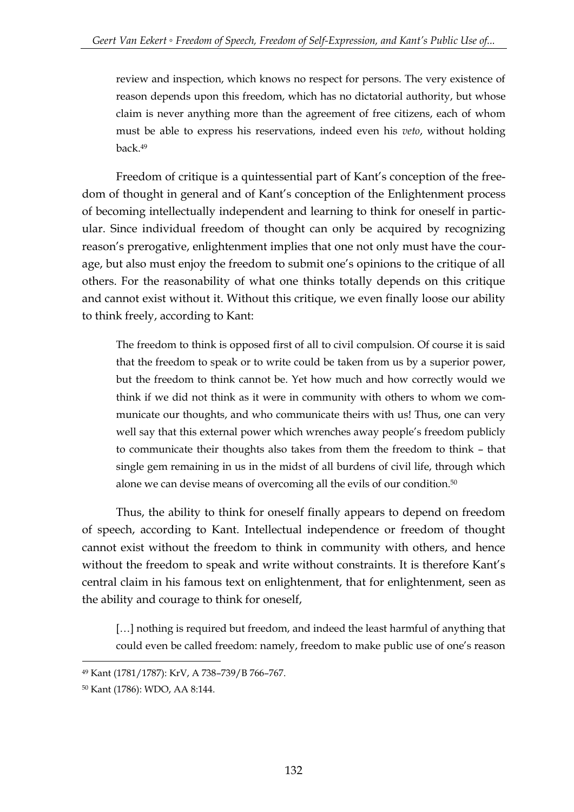review and inspection, which knows no respect for persons. The very existence of reason depends upon this freedom, which has no dictatorial authority, but whose claim is never anything more than the agreement of free citizens, each of whom must be able to express his reservations, indeed even his *veto*, without holding back.<sup>49</sup>

Freedom of critique is a quintessential part of Kant's conception of the freedom of thought in general and of Kant's conception of the Enlightenment process of becoming intellectually independent and learning to think for oneself in particular. Since individual freedom of thought can only be acquired by recognizing reason's prerogative, enlightenment implies that one not only must have the courage, but also must enjoy the freedom to submit one's opinions to the critique of all others. For the reasonability of what one thinks totally depends on this critique and cannot exist without it. Without this critique, we even finally loose our ability to think freely, according to Kant:

The freedom to think is opposed first of all to civil compulsion. Of course it is said that the freedom to speak or to write could be taken from us by a superior power, but the freedom to think cannot be. Yet how much and how correctly would we think if we did not think as it were in community with others to whom we communicate our thoughts, and who communicate theirs with us! Thus, one can very well say that this external power which wrenches away people's freedom publicly to communicate their thoughts also takes from them the freedom to think – that single gem remaining in us in the midst of all burdens of civil life, through which alone we can devise means of overcoming all the evils of our condition.<sup>50</sup>

Thus, the ability to think for oneself finally appears to depend on freedom of speech, according to Kant. Intellectual independence or freedom of thought cannot exist without the freedom to think in community with others, and hence without the freedom to speak and write without constraints. It is therefore Kant's central claim in his famous text on enlightenment, that for enlightenment, seen as the ability and courage to think for oneself,

[...] nothing is required but freedom, and indeed the least harmful of anything that could even be called freedom: namely, freedom to make public use of one's reason

<sup>49</sup> Kant (1781/1787): KrV, A 738–739/B 766–767.

<sup>50</sup> Kant (1786): WDO, AA 8:144.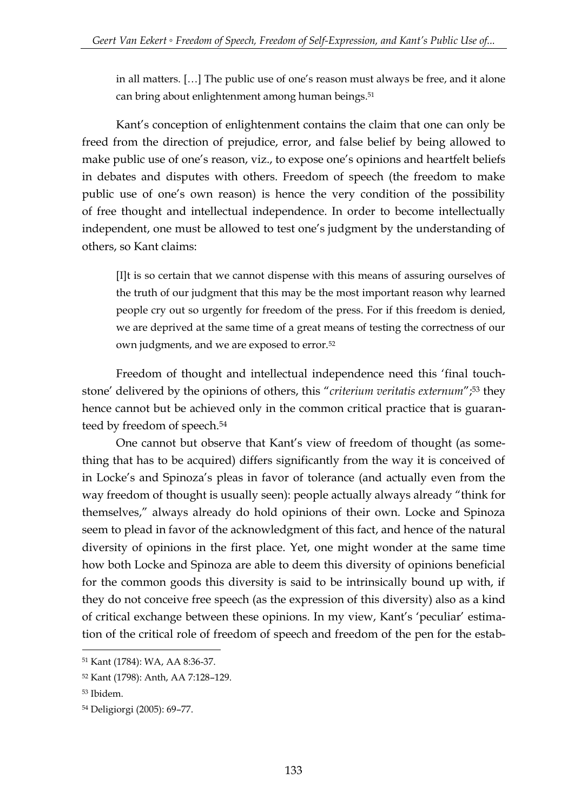in all matters. […] The public use of one's reason must always be free, and it alone can bring about enlightenment among human beings.<sup>51</sup>

Kant's conception of enlightenment contains the claim that one can only be freed from the direction of prejudice, error, and false belief by being allowed to make public use of one's reason, viz., to expose one's opinions and heartfelt beliefs in debates and disputes with others. Freedom of speech (the freedom to make public use of one's own reason) is hence the very condition of the possibility of free thought and intellectual independence. In order to become intellectually independent, one must be allowed to test one's judgment by the understanding of others, so Kant claims:

[I]t is so certain that we cannot dispense with this means of assuring ourselves of the truth of our judgment that this may be the most important reason why learned people cry out so urgently for freedom of the press. For if this freedom is denied, we are deprived at the same time of a great means of testing the correctness of our own judgments, and we are exposed to error.<sup>52</sup>

Freedom of thought and intellectual independence need this 'final touchstone' delivered by the opinions of others, this "*criterium veritatis externum*"; <sup>53</sup> they hence cannot but be achieved only in the common critical practice that is guaranteed by freedom of speech.<sup>54</sup>

One cannot but observe that Kant's view of freedom of thought (as something that has to be acquired) differs significantly from the way it is conceived of in Locke's and Spinoza's pleas in favor of tolerance (and actually even from the way freedom of thought is usually seen): people actually always already "think for themselves," always already do hold opinions of their own. Locke and Spinoza seem to plead in favor of the acknowledgment of this fact, and hence of the natural diversity of opinions in the first place. Yet, one might wonder at the same time how both Locke and Spinoza are able to deem this diversity of opinions beneficial for the common goods this diversity is said to be intrinsically bound up with, if they do not conceive free speech (as the expression of this diversity) also as a kind of critical exchange between these opinions. In my view, Kant's 'peculiar' estimation of the critical role of freedom of speech and freedom of the pen for the estab-

<sup>51</sup> Kant (1784): WA, AA 8:36-37.

<sup>52</sup> Kant (1798): Anth, AA 7:128–129.

<sup>53</sup> Ibidem.

<sup>54</sup> Deligiorgi (2005): 69–77.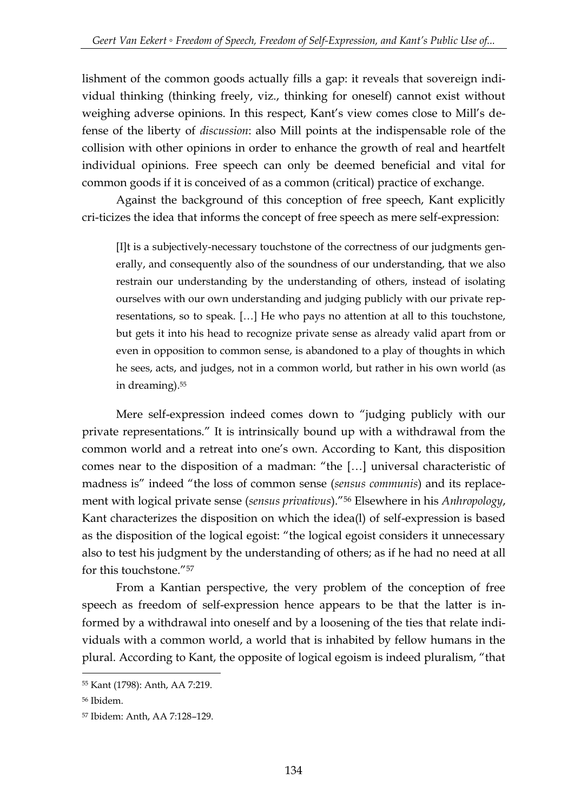lishment of the common goods actually fills a gap: it reveals that sovereign individual thinking (thinking freely, viz., thinking for oneself) cannot exist without weighing adverse opinions. In this respect, Kant's view comes close to Mill's defense of the liberty of *discussion*: also Mill points at the indispensable role of the collision with other opinions in order to enhance the growth of real and heartfelt individual opinions. Free speech can only be deemed beneficial and vital for common goods if it is conceived of as a common (critical) practice of exchange.

Against the background of this conception of free speech, Kant explicitly cri-ticizes the idea that informs the concept of free speech as mere self-expression:

[I]t is a subjectively-necessary touchstone of the correctness of our judgments generally, and consequently also of the soundness of our understanding, that we also restrain our understanding by the understanding of others, instead of isolating ourselves with our own understanding and judging publicly with our private representations, so to speak. […] He who pays no attention at all to this touchstone, but gets it into his head to recognize private sense as already valid apart from or even in opposition to common sense, is abandoned to a play of thoughts in which he sees, acts, and judges, not in a common world, but rather in his own world (as in dreaming).<sup>55</sup>

Mere self-expression indeed comes down to "judging publicly with our private representations." It is intrinsically bound up with a withdrawal from the common world and a retreat into one's own. According to Kant, this disposition comes near to the disposition of a madman: "the […] universal characteristic of madness is" indeed "the loss of common sense (*sensus communis*) and its replacement with logical private sense (*sensus privativus*)."<sup>56</sup> Elsewhere in his *Anhropology*, Kant characterizes the disposition on which the idea(l) of self-expression is based as the disposition of the logical egoist: "the logical egoist considers it unnecessary also to test his judgment by the understanding of others; as if he had no need at all for this touchstone."<sup>57</sup>

From a Kantian perspective, the very problem of the conception of free speech as freedom of self-expression hence appears to be that the latter is informed by a withdrawal into oneself and by a loosening of the ties that relate individuals with a common world, a world that is inhabited by fellow humans in the plural. According to Kant, the opposite of logical egoism is indeed pluralism, "that

<sup>55</sup> Kant (1798): Anth, AA 7:219.

<sup>56</sup> Ibidem.

<sup>57</sup> Ibidem: Anth, AA 7:128–129.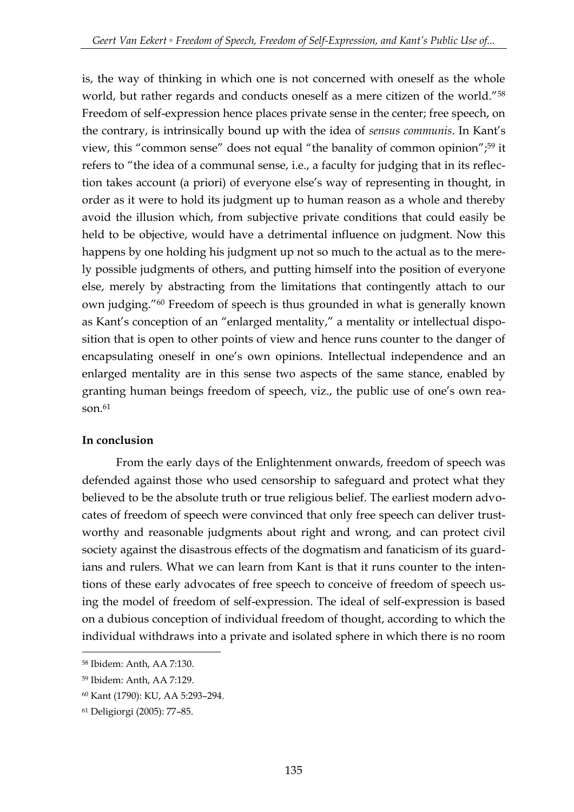is, the way of thinking in which one is not concerned with oneself as the whole world, but rather regards and conducts oneself as a mere citizen of the world."<sup>58</sup> Freedom of self-expression hence places private sense in the center; free speech, on the contrary, is intrinsically bound up with the idea of *sensus communis*. In Kant's view, this "common sense" does not equal "the banality of common opinion"; <sup>59</sup> it refers to "the idea of a communal sense, i.e., a faculty for judging that in its reflection takes account (a priori) of everyone else's way of representing in thought, in order as it were to hold its judgment up to human reason as a whole and thereby avoid the illusion which, from subjective private conditions that could easily be held to be objective, would have a detrimental influence on judgment. Now this happens by one holding his judgment up not so much to the actual as to the merely possible judgments of others, and putting himself into the position of everyone else, merely by abstracting from the limitations that contingently attach to our own judging."<sup>60</sup> Freedom of speech is thus grounded in what is generally known as Kant's conception of an "enlarged mentality," a mentality or intellectual disposition that is open to other points of view and hence runs counter to the danger of encapsulating oneself in one's own opinions. Intellectual independence and an enlarged mentality are in this sense two aspects of the same stance, enabled by granting human beings freedom of speech, viz., the public use of one's own reason $61$ 

## **In conclusion**

From the early days of the Enlightenment onwards, freedom of speech was defended against those who used censorship to safeguard and protect what they believed to be the absolute truth or true religious belief. The earliest modern advocates of freedom of speech were convinced that only free speech can deliver trustworthy and reasonable judgments about right and wrong, and can protect civil society against the disastrous effects of the dogmatism and fanaticism of its guardians and rulers. What we can learn from Kant is that it runs counter to the intentions of these early advocates of free speech to conceive of freedom of speech using the model of freedom of self-expression. The ideal of self-expression is based on a dubious conception of individual freedom of thought, according to which the individual withdraws into a private and isolated sphere in which there is no room

<sup>58</sup> Ibidem: Anth, AA 7:130.

<sup>59</sup> Ibidem: Anth, AA 7:129.

<sup>60</sup> Kant (1790): KU, AA 5:293–294.

<sup>61</sup> Deligiorgi (2005): 77–85.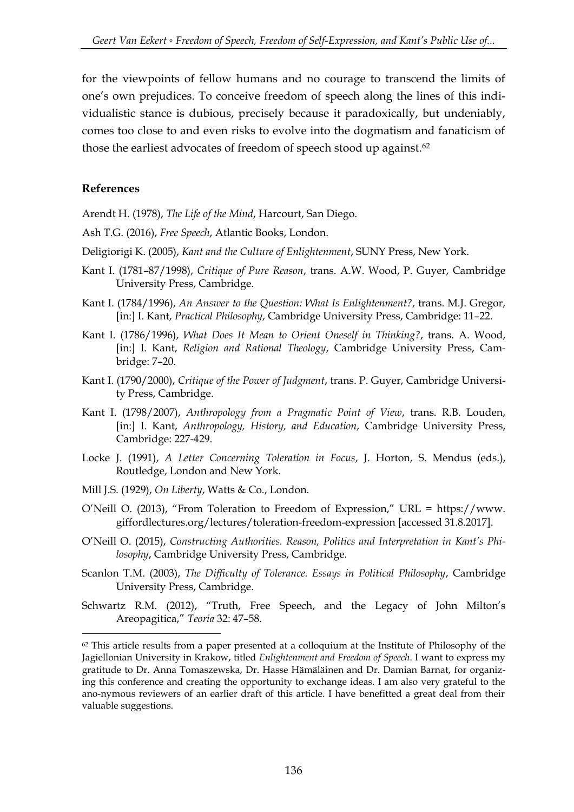for the viewpoints of fellow humans and no courage to transcend the limits of one's own prejudices. To conceive freedom of speech along the lines of this individualistic stance is dubious, precisely because it paradoxically, but undeniably, comes too close to and even risks to evolve into the dogmatism and fanaticism of those the earliest advocates of freedom of speech stood up against.<sup>62</sup>

#### **References**

-

Arendt H. (1978), *The Life of the Mind*, Harcourt, San Diego.

- Ash T.G. (2016), *Free Speech*, Atlantic Books, London.
- Deligiorigi K. (2005), *Kant and the Culture of Enlightenment*, SUNY Press, New York.
- Kant I. (1781–87/1998), *Critique of Pure Reason*, trans. A.W. Wood, P. Guyer, Cambridge University Press, Cambridge.
- Kant I. (1784/1996), *An Answer to the Question: What Is Enlightenment?*, trans. M.J. Gregor, [in:] I. Kant, *Practical Philosophy*, Cambridge University Press, Cambridge: 11–22.
- Kant I. (1786/1996), *What Does It Mean to Orient Oneself in Thinking?*, trans. A. Wood, [in:] I. Kant, *Religion and Rational Theology*, Cambridge University Press, Cambridge: 7–20.
- Kant I. (1790/2000), *Critique of the Power of Judgment*, trans. P. Guyer, Cambridge University Press, Cambridge.
- Kant I. (1798/2007), *Anthropology from a Pragmatic Point of View*, trans. R.B. Louden, [in:] I. Kant, *Anthropology, History, and Education*, Cambridge University Press, Cambridge: 227-429.
- Locke J. (1991), *A Letter Concerning Toleration in Focus*, J. Horton, S. Mendus (eds.), Routledge, London and New York.
- Mill J.S. (1929), *On Liberty*, Watts & Co., London.
- O'Neill O. (2013), "From Toleration to Freedom of Expression," URL = https://www. giffordlectures.org/lectures/toleration-freedom-expression [accessed 31.8.2017].
- O'Neill O. (2015), *Constructing Authorities. Reason, Politics and Interpretation in Kant's Philosophy*, Cambridge University Press, Cambridge.
- Scanlon T.M. (2003), *The Difficulty of Tolerance. Essays in Political Philosophy*, Cambridge University Press, Cambridge.
- Schwartz R.M. (2012), "Truth, Free Speech, and the Legacy of John Milton's Areopagitica," *Teoria* 32: 47–58.

 $62$  This article results from a paper presented at a colloquium at the Institute of Philosophy of the Jagiellonian University in Krakow, titled *Enlightenment and Freedom of Speech*. I want to express my gratitude to Dr. Anna Tomaszewska, Dr. Hasse Hämäläinen and Dr. Damian Barnat, for organizing this conference and creating the opportunity to exchange ideas. I am also very grateful to the ano-nymous reviewers of an earlier draft of this article. I have benefitted a great deal from their valuable suggestions.